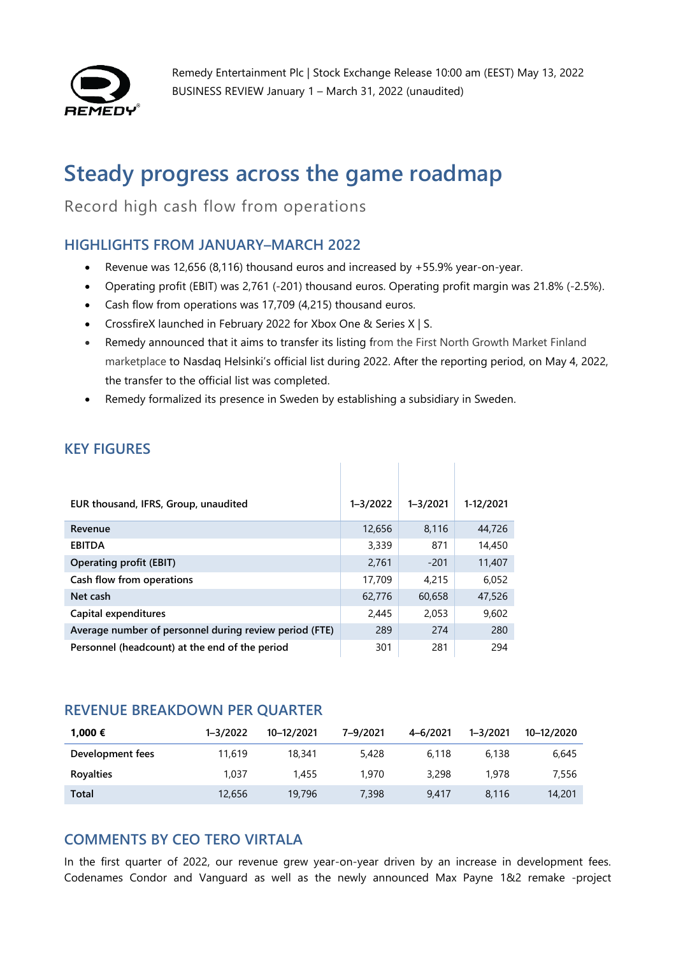

Remedy Entertainment Plc | Stock Exchange Release 10:00 am (EEST) May 13, 2022 BUSINESS REVIEW January 1 – March 31, 2022 (unaudited)

# **Steady progress across the game roadmap**

Record high cash flow from operations

# **HIGHLIGHTS FROM JANUARY–MARCH 2022**

- Revenue was 12,656 (8,116) thousand euros and increased by +55.9% year-on-year.
- Operating profit (EBIT) was 2,761 (-201) thousand euros. Operating profit margin was 21.8% (-2.5%).
- Cash flow from operations was 17,709 (4,215) thousand euros.
- CrossfireX launched in February 2022 for Xbox One & Series X | S.
- Remedy announced that it aims to transfer its listing from the First North Growth Market Finland marketplace to Nasdaq Helsinki's official list during 2022. After the reporting period, on May 4, 2022, the transfer to the official list was completed.

 $\sim$  1

• Remedy formalized its presence in Sweden by establishing a subsidiary in Sweden.

| EUR thousand, IFRS, Group, unaudited                   | $1 - 3/2022$ | $1 - 3/2021$ | 1-12/2021 |
|--------------------------------------------------------|--------------|--------------|-----------|
| Revenue                                                | 12,656       | 8,116        | 44,726    |
| <b>EBITDA</b>                                          | 3,339        | 871          | 14,450    |
| <b>Operating profit (EBIT)</b>                         | 2,761        | $-201$       | 11,407    |
| Cash flow from operations                              | 17,709       | 4.215        | 6.052     |
| Net cash                                               | 62,776       | 60,658       | 47,526    |
| Capital expenditures                                   | 2,445        | 2,053        | 9,602     |
| Average number of personnel during review period (FTE) | 289          | 274          | 280       |
| Personnel (headcount) at the end of the period         | 301          | 281          | 294       |

# **KEY FIGURES**

#### **REVENUE BREAKDOWN PER QUARTER**

| 1,000 €          | $1 - 3/2022$ | 10-12/2021 | 7-9/2021 | 4-6/2021 | $1 - 3/2021$ | 10-12/2020 |
|------------------|--------------|------------|----------|----------|--------------|------------|
| Development fees | 11,619       | 18,341     | 5,428    | 6.118    | 6.138        | 6.645      |
| Royalties        | 1.037        | 1,455      | 1,970    | 3,298    | 1,978        | 7.556      |
| Total            | 12,656       | 19,796     | 7,398    | 9.417    | 8.116        | 14,201     |

# **COMMENTS BY CEO TERO VIRTALA**

In the first quarter of 2022, our revenue grew year-on-year driven by an increase in development fees. Codenames Condor and Vanguard as well as the newly announced Max Payne 1&2 remake -project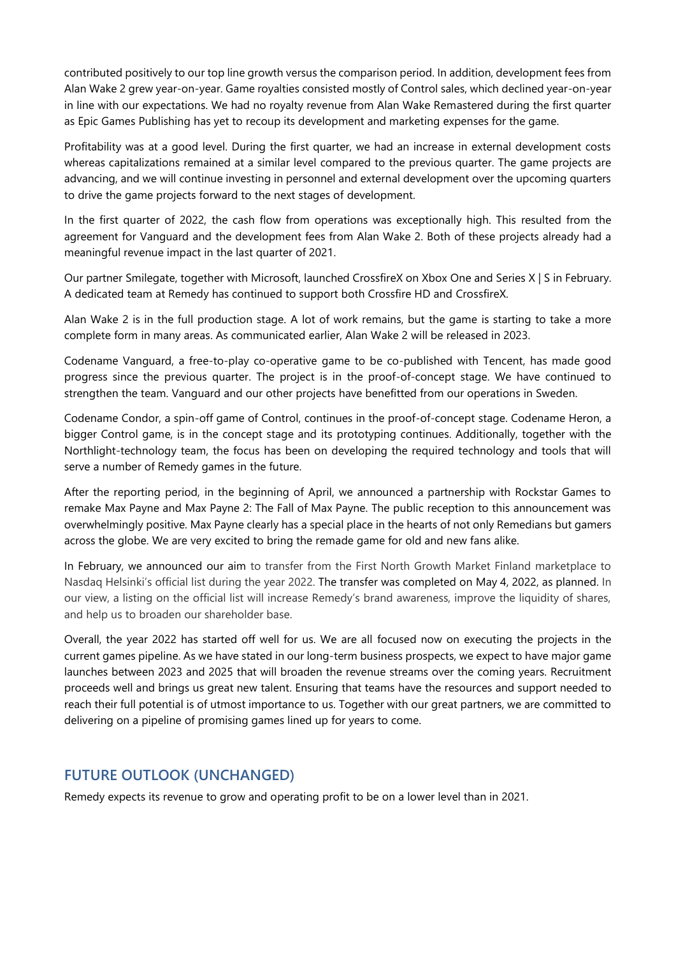contributed positively to our top line growth versus the comparison period. In addition, development fees from Alan Wake 2 grew year-on-year. Game royalties consisted mostly of Control sales, which declined year-on-year in line with our expectations. We had no royalty revenue from Alan Wake Remastered during the first quarter as Epic Games Publishing has yet to recoup its development and marketing expenses for the game.

Profitability was at a good level. During the first quarter, we had an increase in external development costs whereas capitalizations remained at a similar level compared to the previous quarter. The game projects are advancing, and we will continue investing in personnel and external development over the upcoming quarters to drive the game projects forward to the next stages of development.

In the first quarter of 2022, the cash flow from operations was exceptionally high. This resulted from the agreement for Vanguard and the development fees from Alan Wake 2. Both of these projects already had a meaningful revenue impact in the last quarter of 2021.

Our partner Smilegate, together with Microsoft, launched CrossfireX on Xbox One and Series X | S in February. A dedicated team at Remedy has continued to support both Crossfire HD and CrossfireX.

Alan Wake 2 is in the full production stage. A lot of work remains, but the game is starting to take a more complete form in many areas. As communicated earlier, Alan Wake 2 will be released in 2023.

Codename Vanguard, a free-to-play co-operative game to be co-published with Tencent, has made good progress since the previous quarter. The project is in the proof-of-concept stage. We have continued to strengthen the team. Vanguard and our other projects have benefitted from our operations in Sweden.

Codename Condor, a spin-off game of Control, continues in the proof-of-concept stage. Codename Heron, a bigger Control game, is in the concept stage and its prototyping continues. Additionally, together with the Northlight-technology team, the focus has been on developing the required technology and tools that will serve a number of Remedy games in the future.

After the reporting period, in the beginning of April, we announced a partnership with Rockstar Games to remake Max Payne and Max Payne 2: The Fall of Max Payne. The public reception to this announcement was overwhelmingly positive. Max Payne clearly has a special place in the hearts of not only Remedians but gamers across the globe. We are very excited to bring the remade game for old and new fans alike.

In February, we announced our aim to transfer from the First North Growth Market Finland marketplace to Nasdaq Helsinki's official list during the year 2022. The transfer was completed on May 4, 2022, as planned. In our view, a listing on the official list will increase Remedy's brand awareness, improve the liquidity of shares, and help us to broaden our shareholder base.

Overall, the year 2022 has started off well for us. We are all focused now on executing the projects in the current games pipeline. As we have stated in our long-term business prospects, we expect to have major game launches between 2023 and 2025 that will broaden the revenue streams over the coming years. Recruitment proceeds well and brings us great new talent. Ensuring that teams have the resources and support needed to reach their full potential is of utmost importance to us. Together with our great partners, we are committed to delivering on a pipeline of promising games lined up for years to come.

# **FUTURE OUTLOOK (UNCHANGED)**

Remedy expects its revenue to grow and operating profit to be on a lower level than in 2021.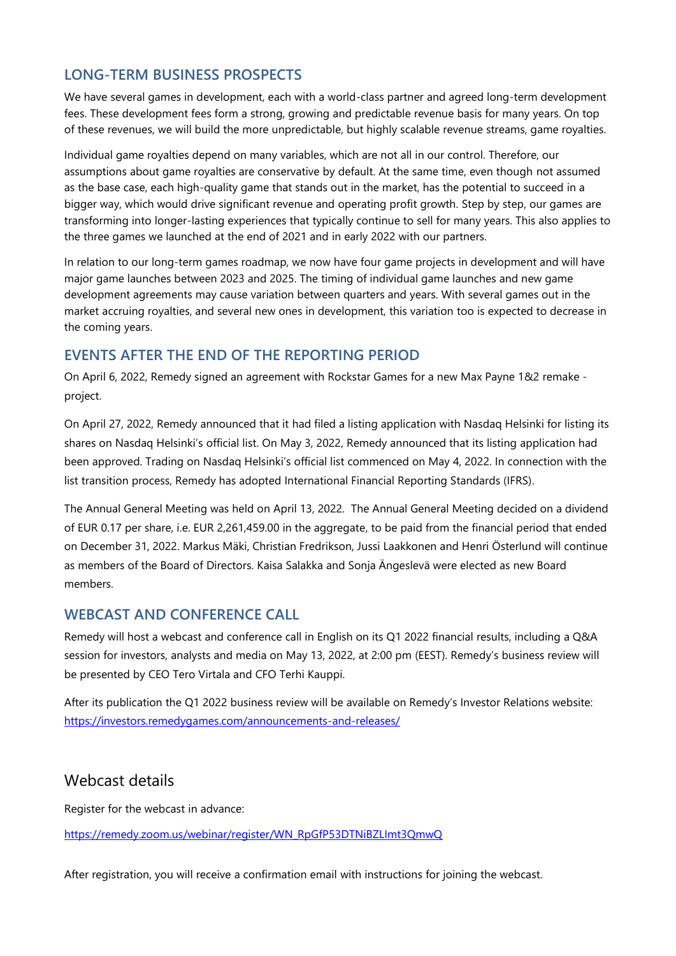### **LONG-TERM BUSINESS PROSPECTS**

We have several games in development, each with a world-class partner and agreed long-term development fees. These development fees form a strong, growing and predictable revenue basis for many years. On top of these revenues, we will build the more unpredictable, but highly scalable revenue streams, game royalties.

Individual game royalties depend on many variables, which are not all in our control. Therefore, our assumptions about game royalties are conservative by default. At the same time, even though not assumed as the base case, each high-quality game that stands out in the market, has the potential to succeed in a bigger way, which would drive significant revenue and operating profit growth. Step by step, our games are transforming into longer-lasting experiences that typically continue to sell for many years. This also applies to the three games we launched at the end of 2021 and in early 2022 with our partners.

In relation to our long-term games roadmap, we now have four game projects in development and will have major game launches between 2023 and 2025. The timing of individual game launches and new game development agreements may cause variation between quarters and years. With several games out in the market accruing royalties, and several new ones in development, this variation too is expected to decrease in the coming years.

#### **EVENTS AFTER THE END OF THE REPORTING PERIOD**

On April 6, 2022, Remedy signed an agreement with Rockstar Games for a new Max Payne 1&2 remake project.

On April 27, 2022, Remedy announced that it had filed a listing application with Nasdaq Helsinki for listing its shares on Nasdaq Helsinki's official list. On May 3, 2022, Remedy announced that its listing application had been approved. Trading on Nasdaq Helsinki's official list commenced on May 4, 2022. In connection with the list transition process, Remedy has adopted International Financial Reporting Standards (IFRS).

The Annual General Meeting was held on April 13, 2022. The Annual General Meeting decided on a dividend of EUR 0.17 per share, i.e. EUR 2,261,459.00 in the aggregate, to be paid from the financial period that ended on December 31, 2022. Markus Mäki, Christian Fredrikson, Jussi Laakkonen and Henri Österlund will continue as members of the Board of Directors. Kaisa Salakka and Sonja Ängeslevä were elected as new Board members.

#### **WEBCAST AND CONFERENCE CALL**

Remedy will host a webcast and conference call in English on its Q1 2022 financial results, including a Q&A session for investors, analysts and media on May 13, 2022, at 2:00 pm (EEST). Remedy's business review will be presented by CEO Tero Virtala and CFO Terhi Kauppi.

After its publication the Q1 2022 business review will be available on Remedy's Investor Relations website: <https://investors.remedygames.com/announcements-and-releases/>

#### Webcast details

Register for the webcast in advance:

[https://remedy.zoom.us/webinar/register/WN\\_RpGfP53DTNiBZLImt3QmwQ](https://remedy.zoom.us/webinar/register/WN_RpGfP53DTNiBZLImt3QmwQ)

After registration, you will receive a confirmation email with instructions for joining the webcast.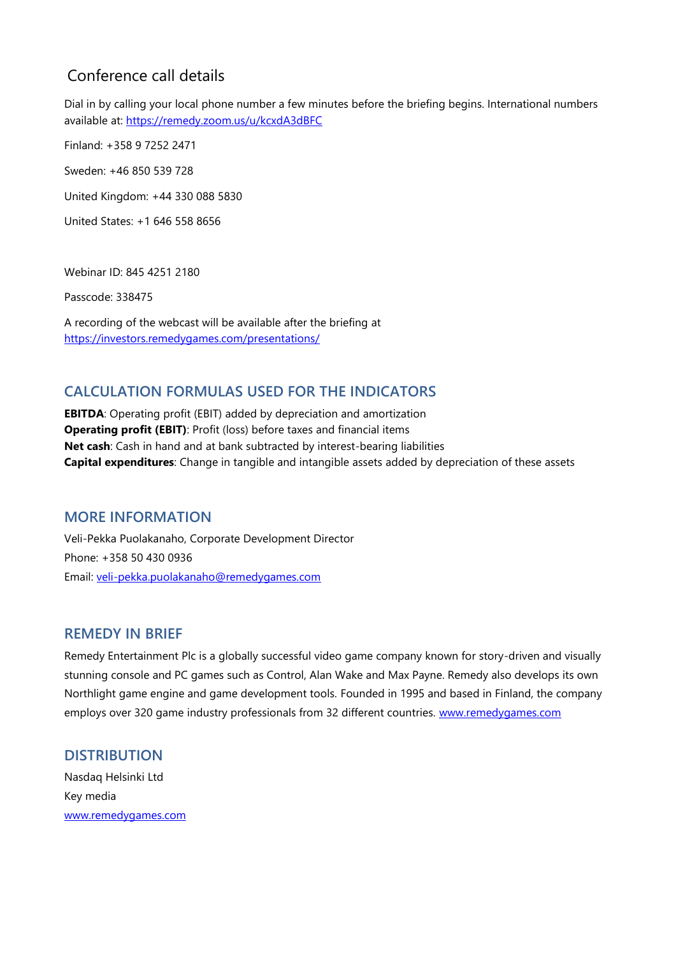# Conference call details

Dial in by calling your local phone number a few minutes before the briefing begins. International numbers available at:<https://remedy.zoom.us/u/kcxdA3dBFC>

Finland: +358 9 7252 2471

Sweden: +46 850 539 728

United Kingdom: +44 330 088 5830

United States: +1 646 558 8656

Webinar ID: 845 4251 2180

Passcode: 338475

A recording of the webcast will be available after the briefing at <https://investors.remedygames.com/presentations/>

# **CALCULATION FORMULAS USED FOR THE INDICATORS**

**EBITDA**: Operating profit (EBIT) added by depreciation and amortization **Operating profit (EBIT)**: Profit (loss) before taxes and financial items **Net cash**: Cash in hand and at bank subtracted by interest-bearing liabilities **Capital expenditures**: Change in tangible and intangible assets added by depreciation of these assets

#### **MORE INFORMATION**

Veli-Pekka Puolakanaho, Corporate Development Director Phone: +358 50 430 0936 Email: [veli-pekka.puolakanaho@remedygames.com](mailto:veli-pekka.puolakanaho@remedygames.com)

#### **REMEDY IN BRIEF**

Remedy Entertainment Plc is a globally successful video game company known for story-driven and visually stunning console and PC games such as Control, Alan Wake and Max Payne. Remedy also develops its own Northlight game engine and game development tools. Founded in 1995 and based in Finland, the company employs over 320 game industry professionals from 32 different countries. [www.remedygames.com](http://www.remedygames.com/)

# **DISTRIBUTION**

Nasdaq Helsinki Ltd Key media [www.remedygames.com](http://www.remedygames.com/)